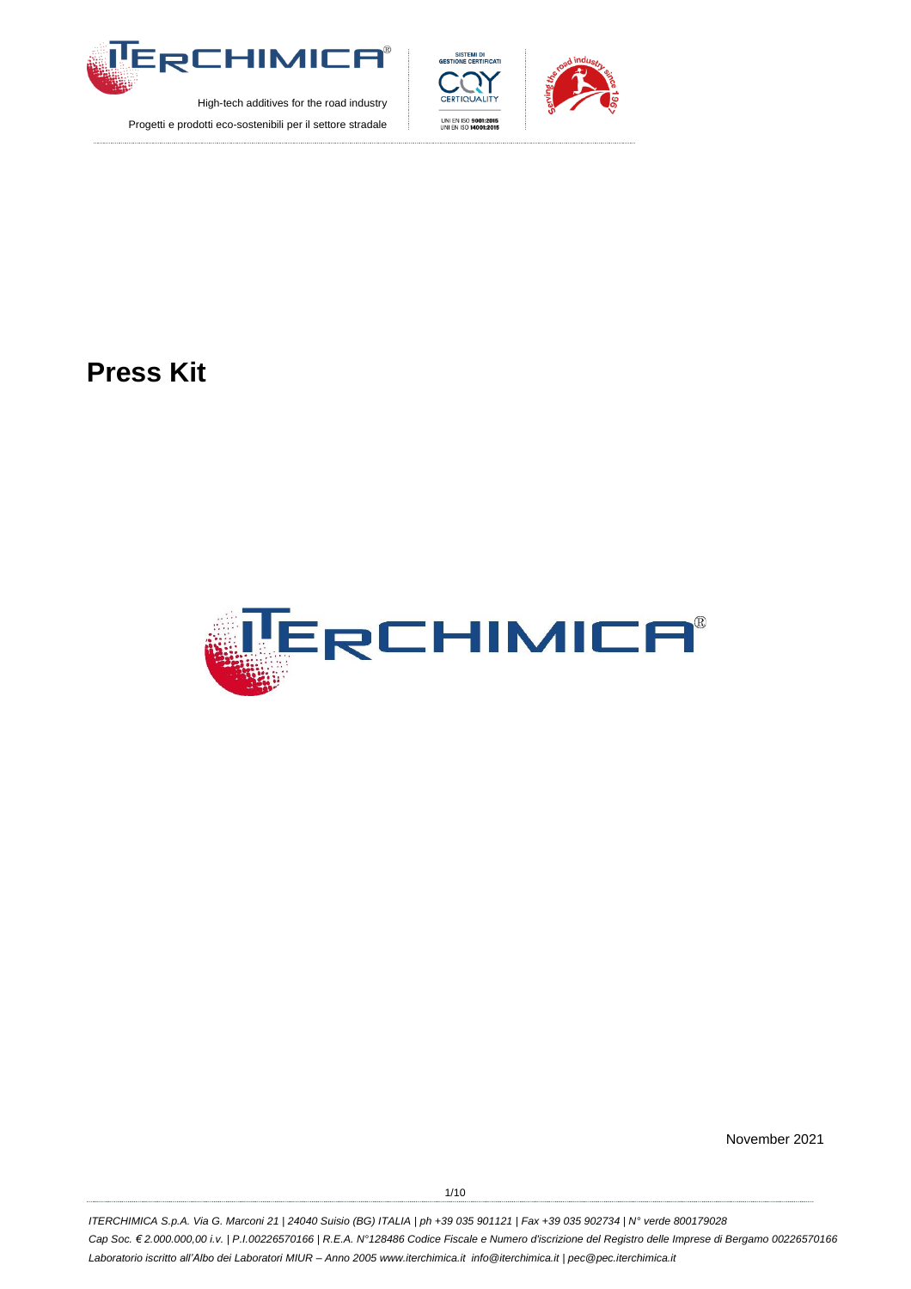





**Press Kit**



November 2021

1/10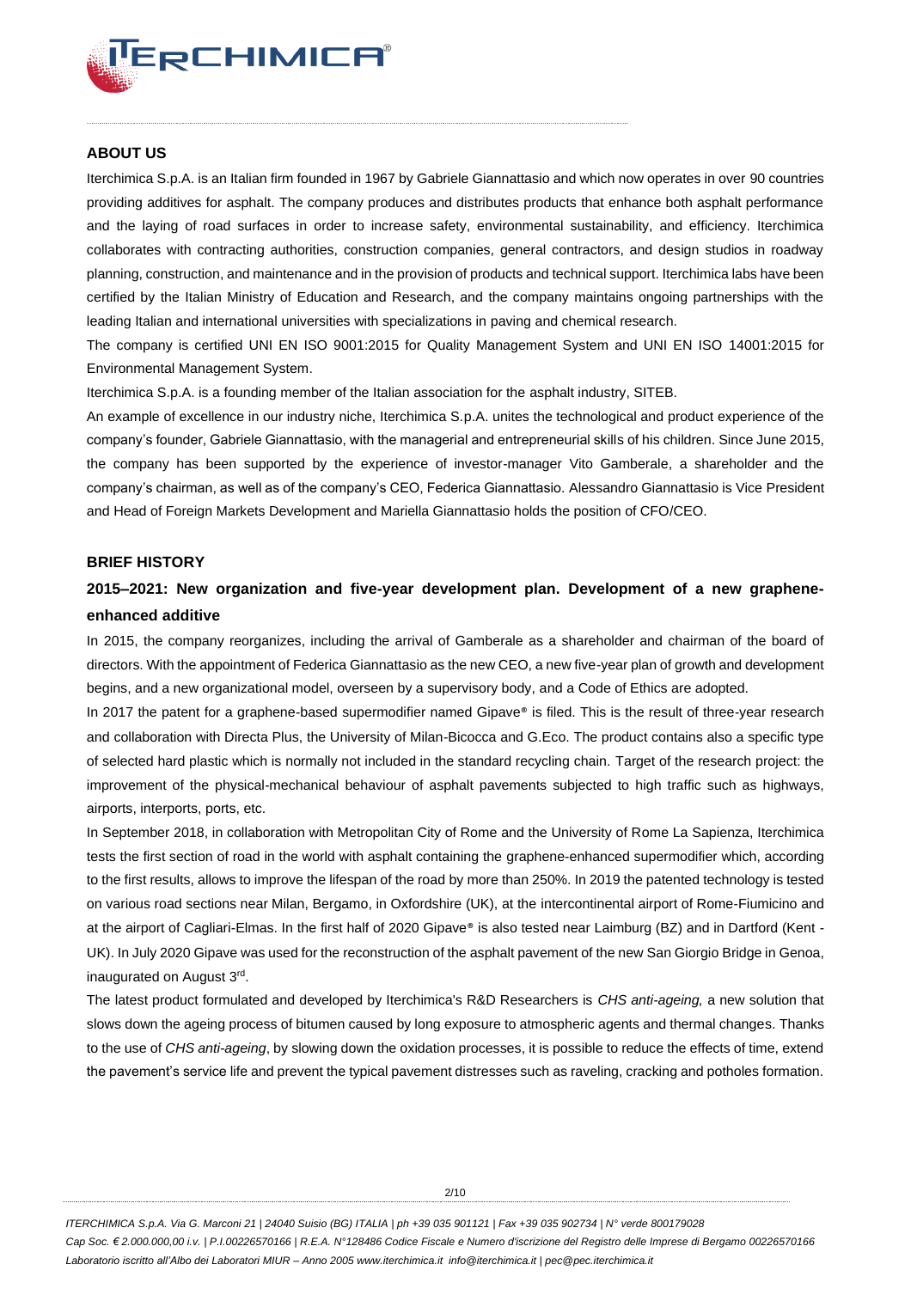

## **ABOUT US**

Iterchimica S.p.A. is an Italian firm founded in 1967 by Gabriele Giannattasio and which now operates in over 90 countries providing additives for asphalt. The company produces and distributes products that enhance both asphalt performance and the laying of road surfaces in order to increase safety, environmental sustainability, and efficiency. Iterchimica collaborates with contracting authorities, construction companies, general contractors, and design studios in roadway planning, construction, and maintenance and in the provision of products and technical support. Iterchimica labs have been certified by the Italian Ministry of Education and Research, and the company maintains ongoing partnerships with the leading Italian and international universities with specializations in paving and chemical research.

The company is certified UNI EN ISO 9001:2015 for Quality Management System and UNI EN ISO 14001:2015 for Environmental Management System.

Iterchimica S.p.A. is a founding member of the Italian association for the asphalt industry, SITEB.

An example of excellence in our industry niche, Iterchimica S.p.A. unites the technological and product experience of the company's founder, Gabriele Giannattasio, with the managerial and entrepreneurial skills of his children. Since June 2015, the company has been supported by the experience of investor-manager Vito Gamberale, a shareholder and the company's chairman, as well as of the company's CEO, Federica Giannattasio. Alessandro Giannattasio is Vice President and Head of Foreign Markets Development and Mariella Giannattasio holds the position of CFO/CEO.

#### **BRIEF HISTORY**

# **2015–2021: New organization and five-year development plan. Development of a new grapheneenhanced additive**

In 2015, the company reorganizes, including the arrival of Gamberale as a shareholder and chairman of the board of directors. With the appointment of Federica Giannattasio as the new CEO, a new five-year plan of growth and development begins, and a new organizational model, overseen by a supervisory body, and a Code of Ethics are adopted.

In 2017 the patent for a graphene-based supermodifier named Gipave® is filed. This is the result of three-year research and collaboration with Directa Plus, the University of Milan-Bicocca and G.Eco. The product contains also a specific type of selected hard plastic which is normally not included in the standard recycling chain. Target of the research project: the improvement of the physical-mechanical behaviour of asphalt pavements subjected to high traffic such as highways, airports, interports, ports, etc.

In September 2018, in collaboration with Metropolitan City of Rome and the University of Rome La Sapienza, Iterchimica tests the first section of road in the world with asphalt containing the graphene-enhanced supermodifier which, according to the first results, allows to improve the lifespan of the road by more than 250%. In 2019 the patented technology is tested on various road sections near Milan, Bergamo, in Oxfordshire (UK), at the intercontinental airport of Rome-Fiumicino and at the airport of Cagliari-Elmas. In the first half of 2020 Gipave® is also tested near Laimburg (BZ) and in Dartford (Kent -UK). In July 2020 Gipave was used for the reconstruction of the asphalt pavement of the new San Giorgio Bridge in Genoa, inaugurated on August 3rd .

The latest product formulated and developed by Iterchimica's R&D Researchers is *CHS anti-ageing,* a new solution that slows down the ageing process of bitumen caused by long exposure to atmospheric agents and thermal changes. Thanks to the use of *CHS anti-ageing*, by slowing down the oxidation processes, it is possible to reduce the effects of time, extend the pavement's service life and prevent the typical pavement distresses such as raveling, cracking and potholes formation.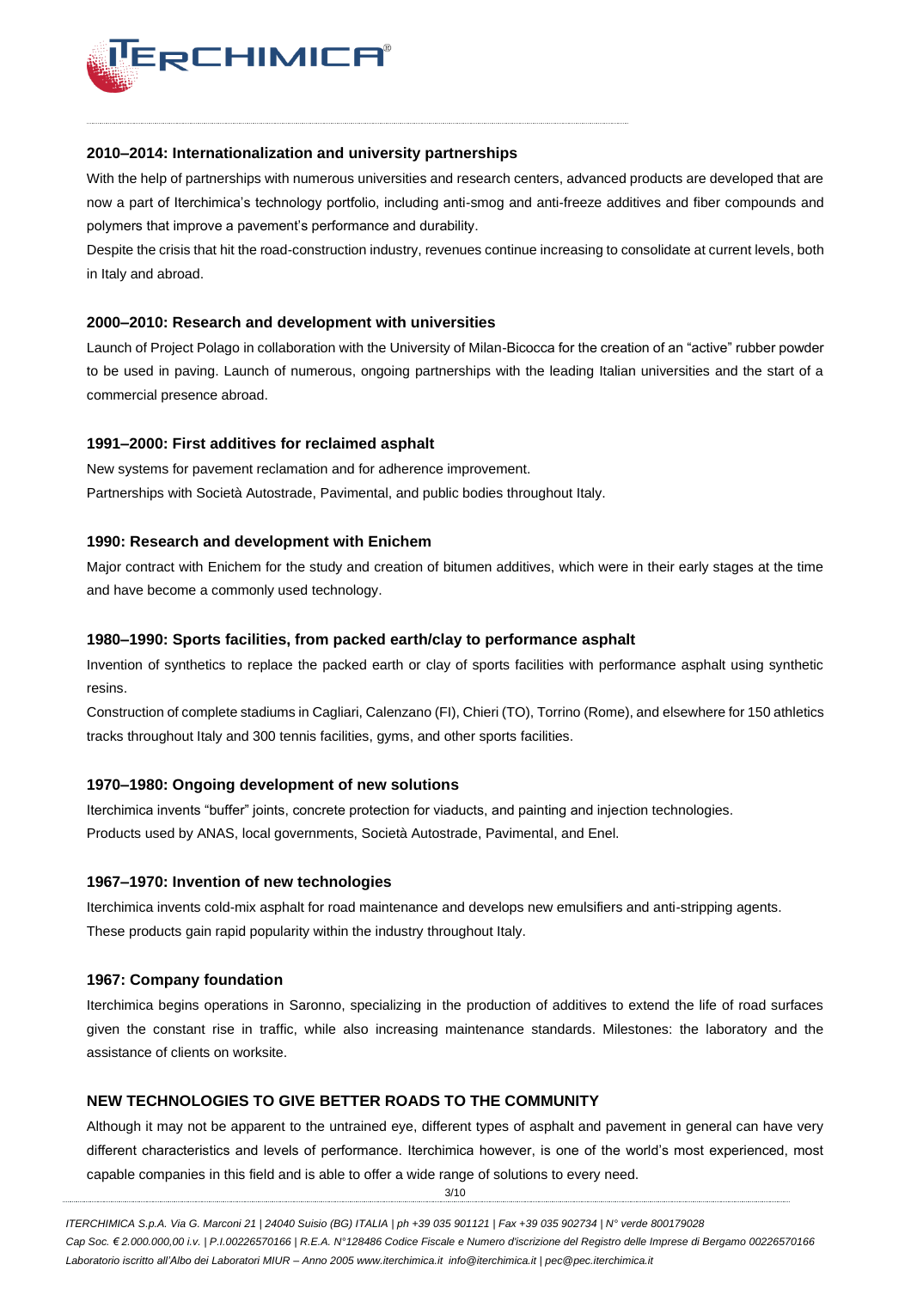

#### **2010–2014: Internationalization and university partnerships**

With the help of partnerships with numerous universities and research centers, advanced products are developed that are now a part of Iterchimica's technology portfolio, including anti-smog and anti-freeze additives and fiber compounds and polymers that improve a pavement's performance and durability.

Despite the crisis that hit the road-construction industry, revenues continue increasing to consolidate at current levels, both in Italy and abroad.

### **2000–2010: Research and development with universities**

Launch of Project Polago in collaboration with the University of Milan-Bicocca for the creation of an "active" rubber powder to be used in paving. Launch of numerous, ongoing partnerships with the leading Italian universities and the start of a commercial presence abroad.

#### **1991–2000: First additives for reclaimed asphalt**

New systems for pavement reclamation and for adherence improvement. Partnerships with Società Autostrade, Pavimental, and public bodies throughout Italy.

#### **1990: Research and development with Enichem**

Major contract with Enichem for the study and creation of bitumen additives, which were in their early stages at the time and have become a commonly used technology.

#### **1980–1990: Sports facilities, from packed earth/clay to performance asphalt**

Invention of synthetics to replace the packed earth or clay of sports facilities with performance asphalt using synthetic resins.

Construction of complete stadiums in Cagliari, Calenzano (FI), Chieri (TO), Torrino (Rome), and elsewhere for 150 athletics tracks throughout Italy and 300 tennis facilities, gyms, and other sports facilities.

#### **1970–1980: Ongoing development of new solutions**

Iterchimica invents "buffer" joints, concrete protection for viaducts, and painting and injection technologies. Products used by ANAS, local governments, Società Autostrade, Pavimental, and Enel.

#### **1967–1970: Invention of new technologies**

Iterchimica invents cold-mix asphalt for road maintenance and develops new emulsifiers and anti-stripping agents. These products gain rapid popularity within the industry throughout Italy.

#### **1967: Company foundation**

Iterchimica begins operations in Saronno, specializing in the production of additives to extend the life of road surfaces given the constant rise in traffic, while also increasing maintenance standards. Milestones: the laboratory and the assistance of clients on worksite.

## **NEW TECHNOLOGIES TO GIVE BETTER ROADS TO THE COMMUNITY**

Although it may not be apparent to the untrained eye, different types of asphalt and pavement in general can have very different characteristics and levels of performance. Iterchimica however, is one of the world's most experienced, most capable companies in this field and is able to offer a wide range of solutions to every need.

3/10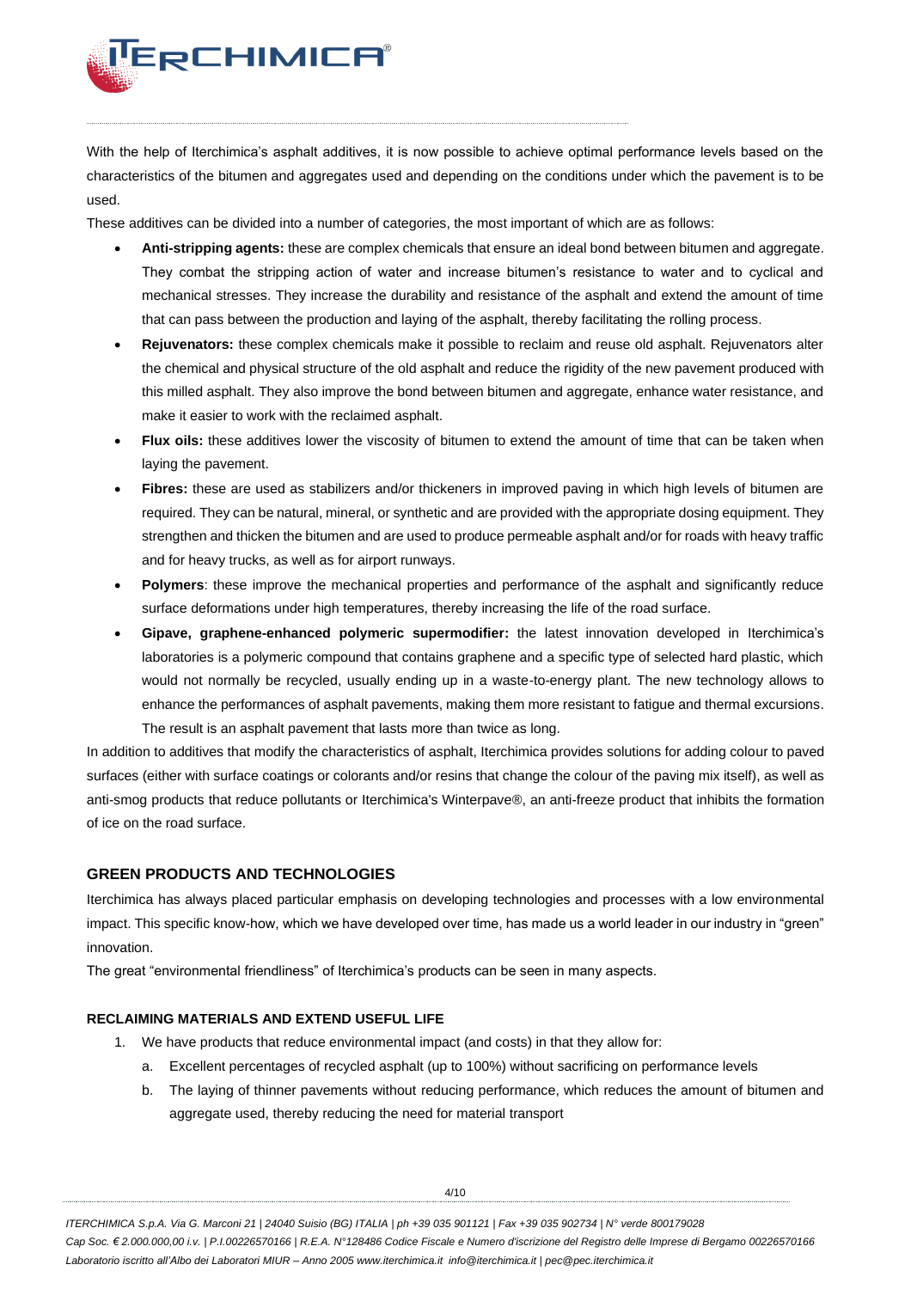

With the help of Iterchimica's asphalt additives, it is now possible to achieve optimal performance levels based on the characteristics of the bitumen and aggregates used and depending on the conditions under which the pavement is to be used.

These additives can be divided into a number of categories, the most important of which are as follows:

- **Anti-stripping agents:** these are complex chemicals that ensure an ideal bond between bitumen and aggregate. They combat the stripping action of water and increase bitumen's resistance to water and to cyclical and mechanical stresses. They increase the durability and resistance of the asphalt and extend the amount of time that can pass between the production and laying of the asphalt, thereby facilitating the rolling process.
- **Rejuvenators:** these complex chemicals make it possible to reclaim and reuse old asphalt. Rejuvenators alter the chemical and physical structure of the old asphalt and reduce the rigidity of the new pavement produced with this milled asphalt. They also improve the bond between bitumen and aggregate, enhance water resistance, and make it easier to work with the reclaimed asphalt.
- **Flux oils:** these additives lower the viscosity of bitumen to extend the amount of time that can be taken when laying the pavement.
- **Fibres:** these are used as stabilizers and/or thickeners in improved paving in which high levels of bitumen are required. They can be natural, mineral, or synthetic and are provided with the appropriate dosing equipment. They strengthen and thicken the bitumen and are used to produce permeable asphalt and/or for roads with heavy traffic and for heavy trucks, as well as for airport runways.
- **Polymers**: these improve the mechanical properties and performance of the asphalt and significantly reduce surface deformations under high temperatures, thereby increasing the life of the road surface.
- **Gipave, graphene-enhanced polymeric supermodifier:** the latest innovation developed in Iterchimica's laboratories is a polymeric compound that contains graphene and a specific type of selected hard plastic, which would not normally be recycled, usually ending up in a waste-to-energy plant. The new technology allows to enhance the performances of asphalt pavements, making them more resistant to fatigue and thermal excursions. The result is an asphalt pavement that lasts more than twice as long.

In addition to additives that modify the characteristics of asphalt, Iterchimica provides solutions for adding colour to paved surfaces (either with surface coatings or colorants and/or resins that change the colour of the paving mix itself), as well as anti-smog products that reduce pollutants or Iterchimica's Winterpave®, an anti-freeze product that inhibits the formation of ice on the road surface.

## **GREEN PRODUCTS AND TECHNOLOGIES**

Iterchimica has always placed particular emphasis on developing technologies and processes with a low environmental impact. This specific know-how, which we have developed over time, has made us a world leader in our industry in "green" innovation.

The great "environmental friendliness" of Iterchimica's products can be seen in many aspects.

## **RECLAIMING MATERIALS AND EXTEND USEFUL LIFE**

- 1. We have products that reduce environmental impact (and costs) in that they allow for:
	- a. Excellent percentages of recycled asphalt (up to 100%) without sacrificing on performance levels
	- b. The laying of thinner pavements without reducing performance, which reduces the amount of bitumen and aggregate used, thereby reducing the need for material transport

 $4/10$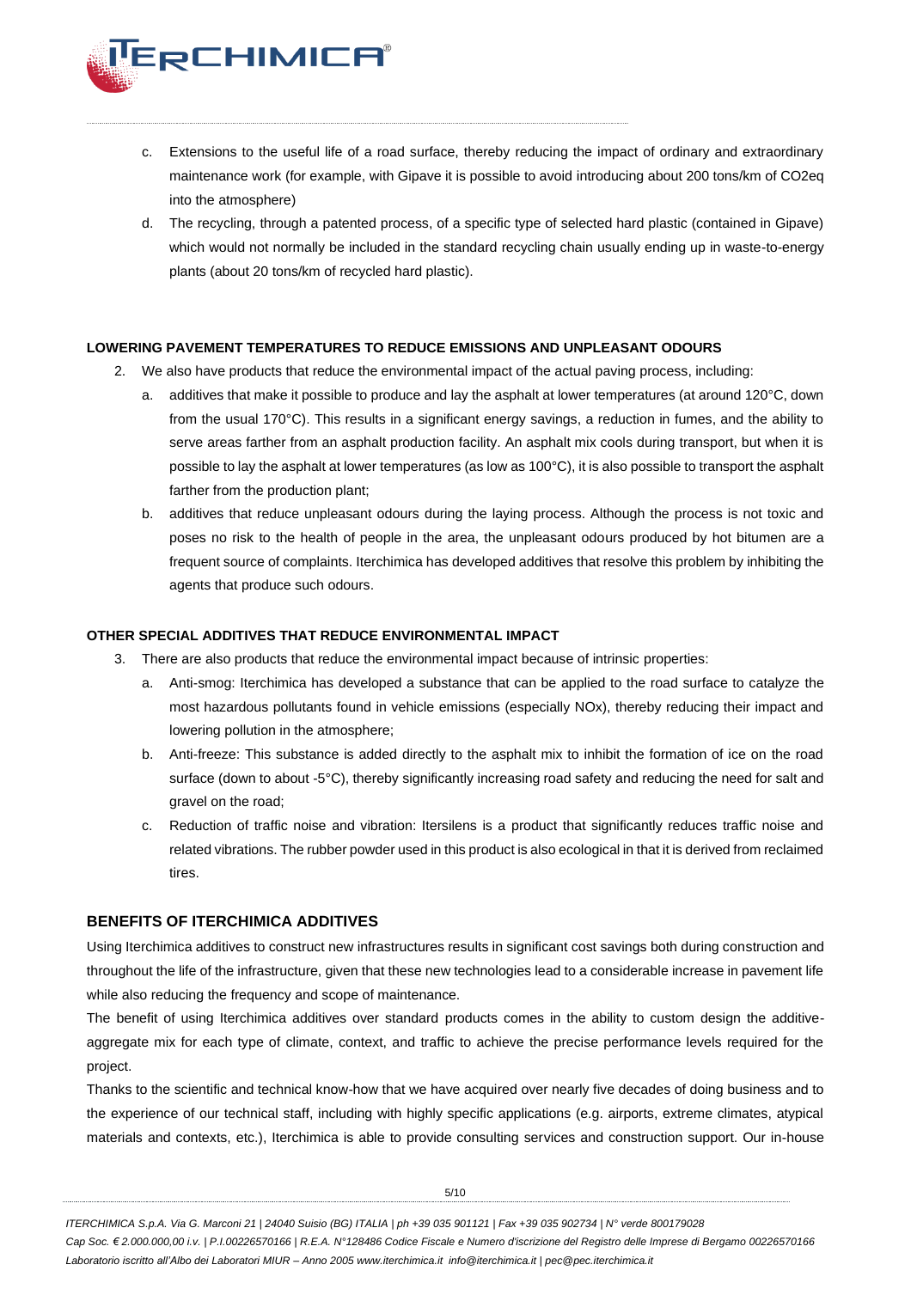

- c. Extensions to the useful life of a road surface, thereby reducing the impact of ordinary and extraordinary maintenance work (for example, with Gipave it is possible to avoid introducing about 200 tons/km of CO2eq into the atmosphere)
- d. The recycling, through a patented process, of a specific type of selected hard plastic (contained in Gipave) which would not normally be included in the standard recycling chain usually ending up in waste-to-energy plants (about 20 tons/km of recycled hard plastic).

#### **LOWERING PAVEMENT TEMPERATURES TO REDUCE EMISSIONS AND UNPLEASANT ODOURS**

- 2. We also have products that reduce the environmental impact of the actual paving process, including:
	- a. additives that make it possible to produce and lay the asphalt at lower temperatures (at around 120°C, down from the usual 170°C). This results in a significant energy savings, a reduction in fumes, and the ability to serve areas farther from an asphalt production facility. An asphalt mix cools during transport, but when it is possible to lay the asphalt at lower temperatures (as low as 100°C), it is also possible to transport the asphalt farther from the production plant;
	- b. additives that reduce unpleasant odours during the laying process. Although the process is not toxic and poses no risk to the health of people in the area, the unpleasant odours produced by hot bitumen are a frequent source of complaints. Iterchimica has developed additives that resolve this problem by inhibiting the agents that produce such odours.

#### **OTHER SPECIAL ADDITIVES THAT REDUCE ENVIRONMENTAL IMPACT**

- 3. There are also products that reduce the environmental impact because of intrinsic properties:
	- Anti-smog: Iterchimica has developed a substance that can be applied to the road surface to catalyze the most hazardous pollutants found in vehicle emissions (especially NOx), thereby reducing their impact and lowering pollution in the atmosphere;
	- b. Anti-freeze: This substance is added directly to the asphalt mix to inhibit the formation of ice on the road surface (down to about -5°C), thereby significantly increasing road safety and reducing the need for salt and gravel on the road;
	- c. Reduction of traffic noise and vibration: Itersilens is a product that significantly reduces traffic noise and related vibrations. The rubber powder used in this product is also ecological in that it is derived from reclaimed tires.

## **BENEFITS OF ITERCHIMICA ADDITIVES**

Using Iterchimica additives to construct new infrastructures results in significant cost savings both during construction and throughout the life of the infrastructure, given that these new technologies lead to a considerable increase in pavement life while also reducing the frequency and scope of maintenance.

The benefit of using Iterchimica additives over standard products comes in the ability to custom design the additiveaggregate mix for each type of climate, context, and traffic to achieve the precise performance levels required for the project.

Thanks to the scientific and technical know-how that we have acquired over nearly five decades of doing business and to the experience of our technical staff, including with highly specific applications (e.g. airports, extreme climates, atypical materials and contexts, etc.), Iterchimica is able to provide consulting services and construction support. Our in-house

5/10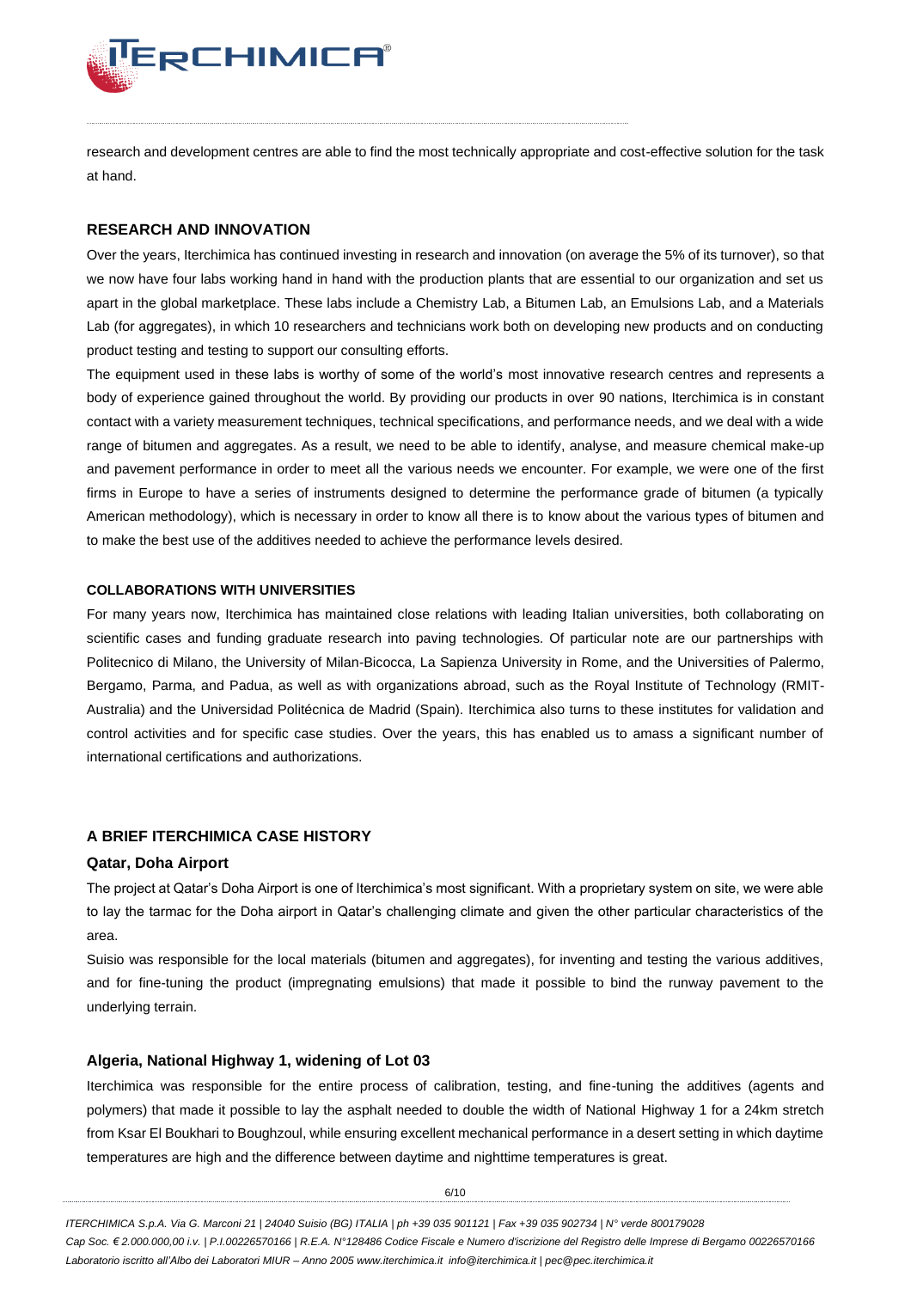

research and development centres are able to find the most technically appropriate and cost-effective solution for the task at hand.

### **RESEARCH AND INNOVATION**

Over the years, Iterchimica has continued investing in research and innovation (on average the 5% of its turnover), so that we now have four labs working hand in hand with the production plants that are essential to our organization and set us apart in the global marketplace. These labs include a Chemistry Lab, a Bitumen Lab, an Emulsions Lab, and a Materials Lab (for aggregates), in which 10 researchers and technicians work both on developing new products and on conducting product testing and testing to support our consulting efforts.

The equipment used in these labs is worthy of some of the world's most innovative research centres and represents a body of experience gained throughout the world. By providing our products in over 90 nations, Iterchimica is in constant contact with a variety measurement techniques, technical specifications, and performance needs, and we deal with a wide range of bitumen and aggregates. As a result, we need to be able to identify, analyse, and measure chemical make-up and pavement performance in order to meet all the various needs we encounter. For example, we were one of the first firms in Europe to have a series of instruments designed to determine the performance grade of bitumen (a typically American methodology), which is necessary in order to know all there is to know about the various types of bitumen and to make the best use of the additives needed to achieve the performance levels desired.

#### **COLLABORATIONS WITH UNIVERSITIES**

For many years now, Iterchimica has maintained close relations with leading Italian universities, both collaborating on scientific cases and funding graduate research into paving technologies. Of particular note are our partnerships with Politecnico di Milano, the University of Milan-Bicocca, La Sapienza University in Rome, and the Universities of Palermo, Bergamo, Parma, and Padua, as well as with organizations abroad, such as the Royal Institute of Technology (RMIT-Australia) and the Universidad Politécnica de Madrid (Spain). Iterchimica also turns to these institutes for validation and control activities and for specific case studies. Over the years, this has enabled us to amass a significant number of international certifications and authorizations.

## **A BRIEF ITERCHIMICA CASE HISTORY**

## **Qatar, Doha Airport**

The project at Qatar's Doha Airport is one of Iterchimica's most significant. With a proprietary system on site, we were able to lay the tarmac for the Doha airport in Qatar's challenging climate and given the other particular characteristics of the area.

Suisio was responsible for the local materials (bitumen and aggregates), for inventing and testing the various additives, and for fine-tuning the product (impregnating emulsions) that made it possible to bind the runway pavement to the underlying terrain.

### **Algeria, National Highway 1, widening of Lot 03**

Iterchimica was responsible for the entire process of calibration, testing, and fine-tuning the additives (agents and polymers) that made it possible to lay the asphalt needed to double the width of National Highway 1 for a 24km stretch from Ksar El Boukhari to Boughzoul, while ensuring excellent mechanical performance in a desert setting in which daytime temperatures are high and the difference between daytime and nighttime temperatures is great.

6/10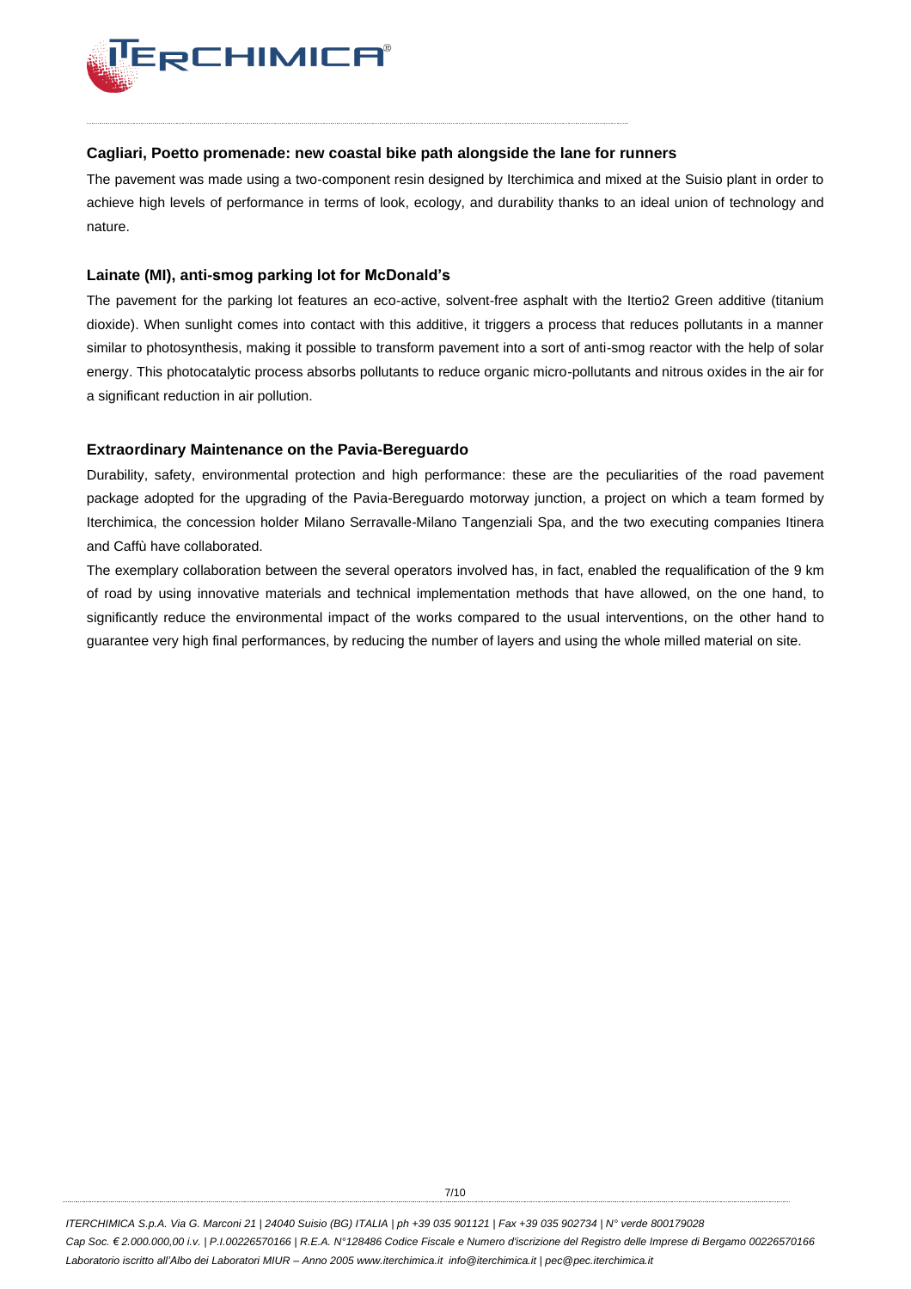

### **Cagliari, Poetto promenade: new coastal bike path alongside the lane for runners**

The pavement was made using a two-component resin designed by Iterchimica and mixed at the Suisio plant in order to achieve high levels of performance in terms of look, ecology, and durability thanks to an ideal union of technology and nature.

## **Lainate (MI), anti-smog parking lot for McDonald's**

The pavement for the parking lot features an eco-active, solvent-free asphalt with the Itertio2 Green additive (titanium dioxide). When sunlight comes into contact with this additive, it triggers a process that reduces pollutants in a manner similar to photosynthesis, making it possible to transform pavement into a sort of anti-smog reactor with the help of solar energy. This photocatalytic process absorbs pollutants to reduce organic micro-pollutants and nitrous oxides in the air for a significant reduction in air pollution.

## **Extraordinary Maintenance on the Pavia-Bereguardo**

Durability, safety, environmental protection and high performance: these are the peculiarities of the road pavement package adopted for the upgrading of the Pavia-Bereguardo motorway junction, a project on which a team formed by Iterchimica, the concession holder Milano Serravalle-Milano Tangenziali Spa, and the two executing companies Itinera and Caffù have collaborated.

The exemplary collaboration between the several operators involved has, in fact, enabled the requalification of the 9 km of road by using innovative materials and technical implementation methods that have allowed, on the one hand, to significantly reduce the environmental impact of the works compared to the usual interventions, on the other hand to guarantee very high final performances, by reducing the number of layers and using the whole milled material on site.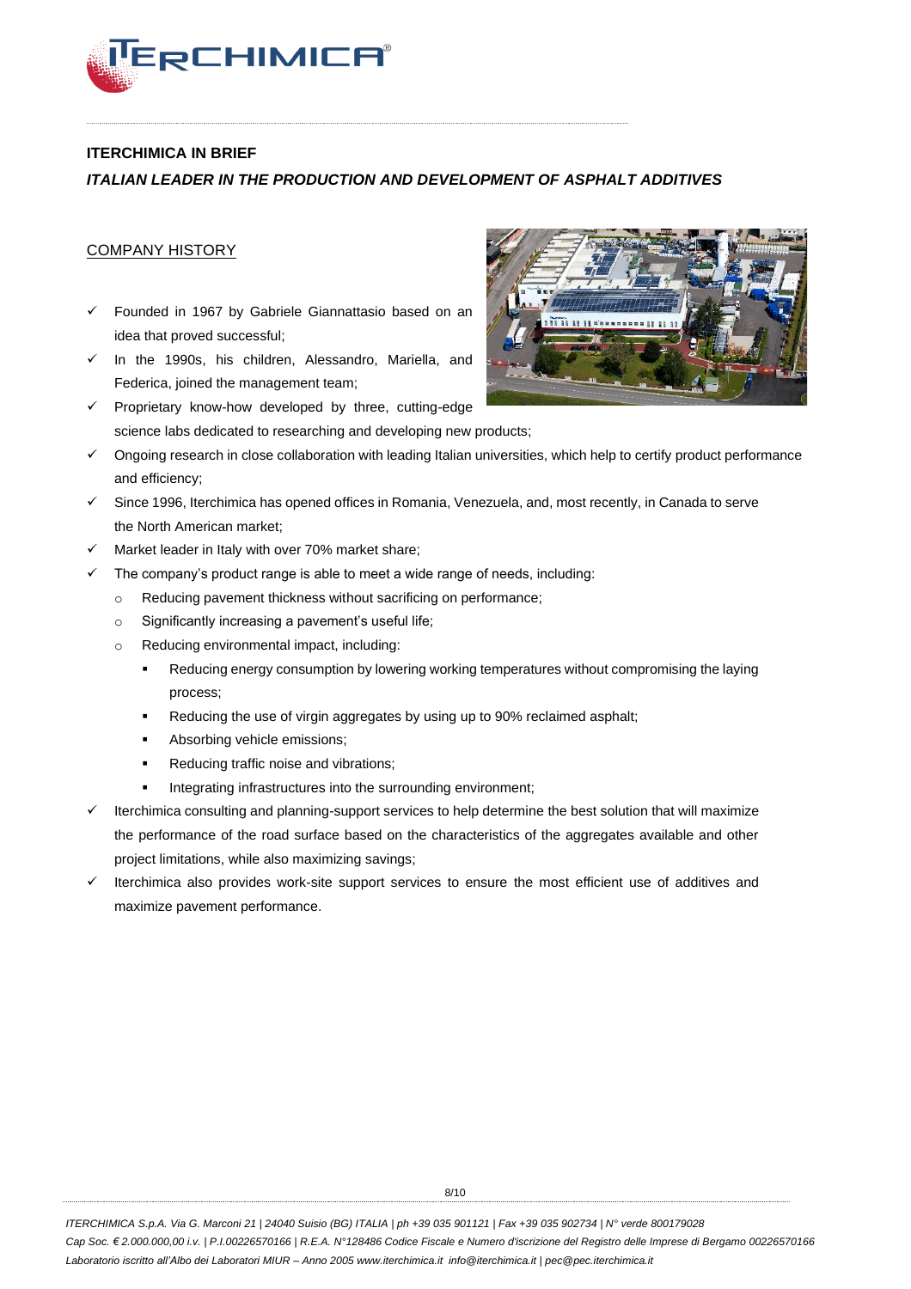

## **ITERCHIMICA IN BRIEF**

## *ITALIAN LEADER IN THE PRODUCTION AND DEVELOPMENT OF ASPHALT ADDITIVES*

## COMPANY HISTORY

- ✓ Founded in 1967 by Gabriele Giannattasio based on an idea that proved successful;
- ✓ In the 1990s, his children, Alessandro, Mariella, and Federica, joined the management team;
- ✓ Proprietary know-how developed by three, cutting-edge science labs dedicated to researching and developing new products;
- ✓ Ongoing research in close collaboration with leading Italian universities, which help to certify product performance and efficiency;
- ✓ Since 1996, Iterchimica has opened offices in Romania, Venezuela, and, most recently, in Canada to serve the North American market;
- Market leader in Italy with over 70% market share;
- $\checkmark$  The company's product range is able to meet a wide range of needs, including:
	- o Reducing pavement thickness without sacrificing on performance;
	- o Significantly increasing a pavement's useful life;
	- o Reducing environmental impact, including:
		- Reducing energy consumption by lowering working temperatures without compromising the laying process;
		- Reducing the use of virgin aggregates by using up to 90% reclaimed asphalt;
		- Absorbing vehicle emissions;
		- Reducing traffic noise and vibrations;
		- Integrating infrastructures into the surrounding environment;
- Iterchimica consulting and planning-support services to help determine the best solution that will maximize the performance of the road surface based on the characteristics of the aggregates available and other project limitations, while also maximizing savings;
- ✓ Iterchimica also provides work-site support services to ensure the most efficient use of additives and maximize pavement performance.

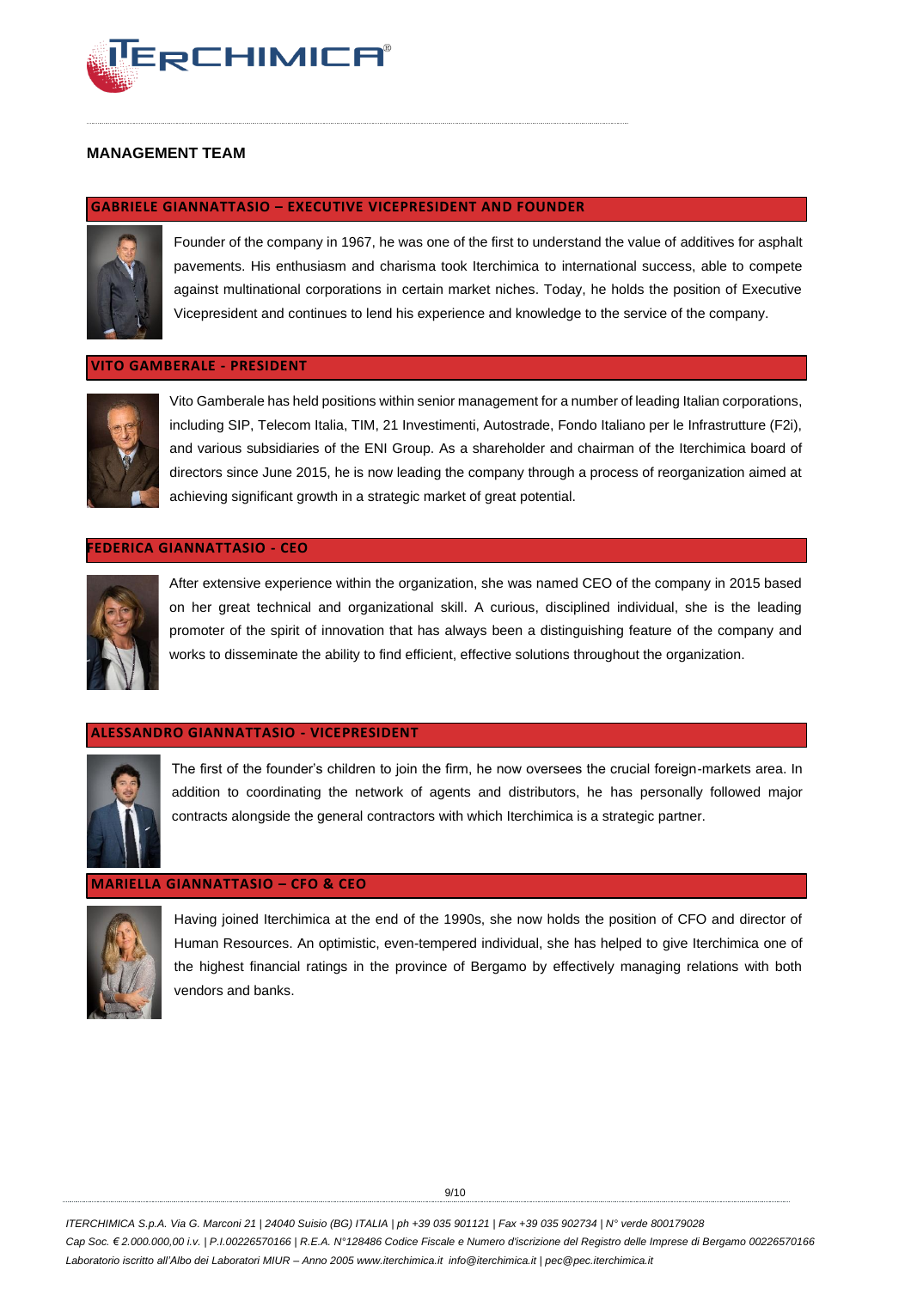

## **MANAGEMENT TEAM**

#### **GABRIELE GIANNATTASIO – EXECUTIVE VICEPRESIDENT AND FOUNDER**



Founder of the company in 1967, he was one of the first to understand the value of additives for asphalt pavements. His enthusiasm and charisma took Iterchimica to international success, able to compete against multinational corporations in certain market niches. Today, he holds the position of Executive Vicepresident and continues to lend his experience and knowledge to the service of the company.

#### **VITO GAMBERALE - PRESIDENT**



Vito Gamberale has held positions within senior management for a number of leading Italian corporations, including SIP, Telecom Italia, TIM, 21 Investimenti, Autostrade, Fondo Italiano per le Infrastrutture (F2i), and various subsidiaries of the ENI Group. As a shareholder and chairman of the Iterchimica board of directors since June 2015, he is now leading the company through a process of reorganization aimed at achieving significant growth in a strategic market of great potential.

#### **FEDERICA GIANNATTASIO - CEO**



After extensive experience within the organization, she was named CEO of the company in 2015 based on her great technical and organizational skill. A curious, disciplined individual, she is the leading promoter of the spirit of innovation that has always been a distinguishing feature of the company and works to disseminate the ability to find efficient, effective solutions throughout the organization.

#### **ALESSANDRO GIANNATTASIO - VICEPRESIDENT**



The first of the founder's children to join the firm, he now oversees the crucial foreign-markets area. In addition to coordinating the network of agents and distributors, he has personally followed major contracts alongside the general contractors with which Iterchimica is a strategic partner.

### **MARIELLA GIANNATTASIO – CFO & CEO**



Having joined Iterchimica at the end of the 1990s, she now holds the position of CFO and director of Human Resources. An optimistic, even-tempered individual, she has helped to give Iterchimica one of the highest financial ratings in the province of Bergamo by effectively managing relations with both vendors and banks.